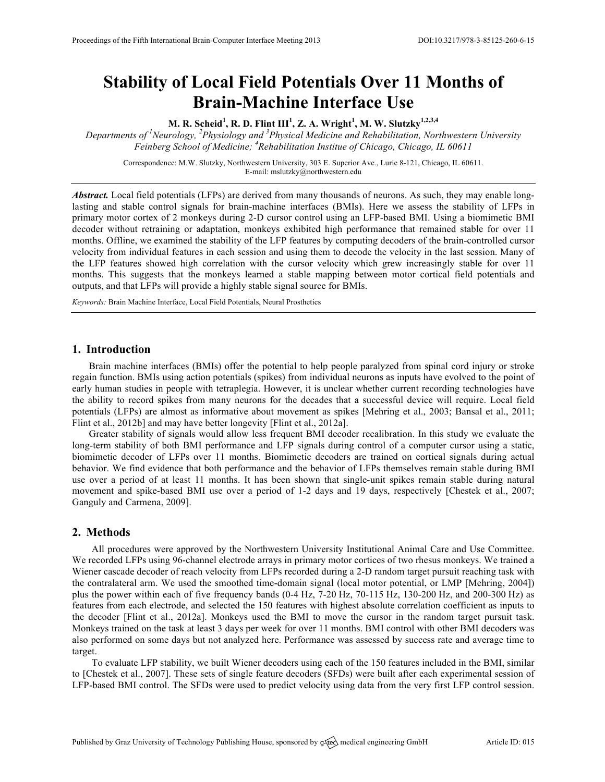# **Stability of Local Field Potentials Over 11 Months of Brain-Machine Interface Use**

**M. R. Scheid<sup>1</sup> , R. D. Flint III<sup>1</sup> , Z. A. Wright<sup>1</sup> , M. W. Slutzky1,2,3,4**

*Departments of <sup>1</sup> Neurology, <sup>2</sup> Physiology and <sup>3</sup> Physical Medicine and Rehabilitation, Northwestern University Feinberg School of Medicine; <sup>4</sup> Rehabilitation Institue of Chicago, Chicago, IL 60611*

Correspondence: M.W. Slutzky, Northwestern University, 303 E. Superior Ave., Lurie 8-121, Chicago, IL 60611. E-mail: mslutzky@northwestern.edu

*Abstract.* Local field potentials (LFPs) are derived from many thousands of neurons. As such, they may enable longlasting and stable control signals for brain-machine interfaces (BMIs). Here we assess the stability of LFPs in primary motor cortex of 2 monkeys during 2-D cursor control using an LFP-based BMI. Using a biomimetic BMI decoder without retraining or adaptation, monkeys exhibited high performance that remained stable for over 11 months. Offline, we examined the stability of the LFP features by computing decoders of the brain-controlled cursor velocity from individual features in each session and using them to decode the velocity in the last session. Many of the LFP features showed high correlation with the cursor velocity which grew increasingly stable for over 11 months. This suggests that the monkeys learned a stable mapping between motor cortical field potentials and outputs, and that LFPs will provide a highly stable signal source for BMIs.

*Keywords:* Brain Machine Interface, Local Field Potentials, Neural Prosthetics

#### **1. Introduction**

Brain machine interfaces (BMIs) offer the potential to help people paralyzed from spinal cord injury or stroke regain function. BMIs using action potentials (spikes) from individual neurons as inputs have evolved to the point of early human studies in people with tetraplegia. However, it is unclear whether current recording technologies have the ability to record spikes from many neurons for the decades that a successful device will require. Local field potentials (LFPs) are almost as informative about movement as spikes [Mehring et al., 2003; Bansal et al., 2011; Flint et al., 2012b] and may have better longevity [Flint et al., 2012a].

Greater stability of signals would allow less frequent BMI decoder recalibration. In this study we evaluate the long-term stability of both BMI performance and LFP signals during control of a computer cursor using a static, biomimetic decoder of LFPs over 11 months. Biomimetic decoders are trained on cortical signals during actual behavior. We find evidence that both performance and the behavior of LFPs themselves remain stable during BMI use over a period of at least 11 months. It has been shown that single-unit spikes remain stable during natural movement and spike-based BMI use over a period of 1-2 days and 19 days, respectively [Chestek et al., 2007; Ganguly and Carmena, 2009].

## **2. Methods**

All procedures were approved by the Northwestern University Institutional Animal Care and Use Committee. We recorded LFPs using 96-channel electrode arrays in primary motor cortices of two rhesus monkeys. We trained a Wiener cascade decoder of reach velocity from LFPs recorded during a 2-D random target pursuit reaching task with the contralateral arm. We used the smoothed time-domain signal (local motor potential, or LMP [Mehring, 2004]) plus the power within each of five frequency bands (0-4 Hz, 7-20 Hz, 70-115 Hz, 130-200 Hz, and 200-300 Hz) as features from each electrode, and selected the 150 features with highest absolute correlation coefficient as inputs to the decoder [Flint et al., 2012a]. Monkeys used the BMI to move the cursor in the random target pursuit task. Monkeys trained on the task at least 3 days per week for over 11 months. BMI control with other BMI decoders was also performed on some days but not analyzed here. Performance was assessed by success rate and average time to target.

To evaluate LFP stability, we built Wiener decoders using each of the 150 features included in the BMI, similar to [Chestek et al., 2007]. These sets of single feature decoders (SFDs) were built after each experimental session of LFP-based BMI control. The SFDs were used to predict velocity using data from the very first LFP control session.